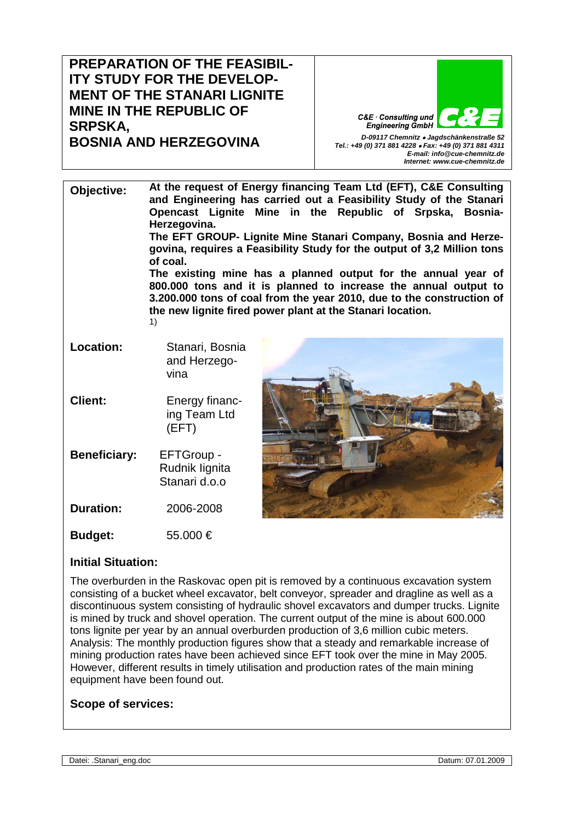## **PREPARATION OF THE FEASIBIL-ITY STUDY FOR THE DEVELOP-MENT OF THE STANARI LIGNITE MINE IN THE REPUBLIC OF SRPSKA,**

C&E · Consulting und **Engineering GmbH BOSNIA AND HERZEGOVINA** *D-09117 Chemnitz* • *Jagdschänkenstraße 52 Tel.: +49 (0) 371 881 4228* • *Fax: +49 (0) 371 881 4311 E-mail: info@cue-chemnitz.de Internet: www.cue-chemnitz.de*

**Objective: At the request of Energy financing Team Ltd (EFT), C&E Consulting and Engineering has carried out a Feasibility Study of the Stanari Opencast Lignite Mine in the Republic of Srpska, Bosnia-Herzegovina. The EFT GROUP- Lignite Mine Stanari Company, Bosnia and Herzegovina, requires a Feasibility Study for the output of 3,2 Million tons of coal. The existing mine has a planned output for the annual year of 800.000 tons and it is planned to increase the annual output to 3.200.000 tons of coal from the year 2010, due to the construction of the new lignite fired power plant at the Stanari location.** 1) **Location:** Stanari, Bosnia and Herzegovina **Client:** Energy financing Team Ltd (EFT) **Beneficiary:** EFTGroup - Rudnik Iignita Stanari d.o.o. **Duration:** 2006-2008

**Budget:** 55.000 €

## **Initial Situation:**

The overburden in the Raskovac open pit is removed by a continuous excavation system consisting of a bucket wheel excavator, belt conveyor, spreader and dragline as well as a discontinuous system consisting of hydraulic shovel excavators and dumper trucks. Lignite is mined by truck and shovel operation. The current output of the mine is about 600.000 tons lignite per year by an annual overburden production of 3,6 million cubic meters. Analysis: The monthly production figures show that a steady and remarkable increase of mining production rates have been achieved since EFT took over the mine in May 2005. However, different results in timely utilisation and production rates of the main mining equipment have been found out.

## **Scope of services:**